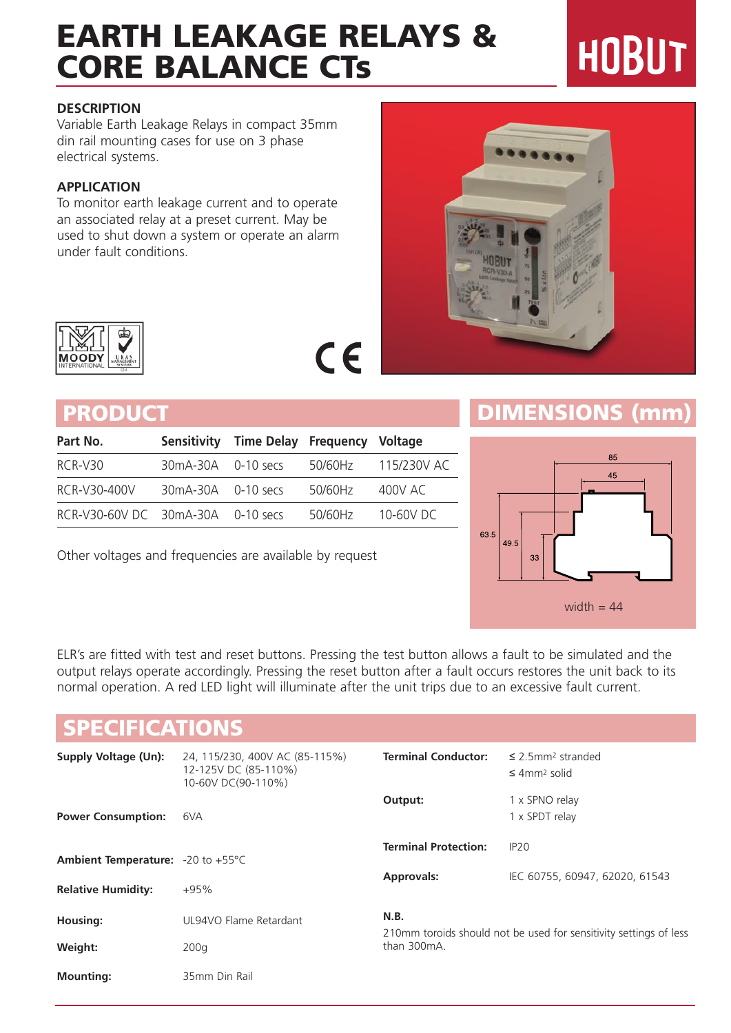# EARTH LEAKAGE RELAYS & CORE BALANCE CTs

## **DESCRIPTION**

Variable Earth Leakage Relays in compact 35mm din rail mounting cases for use on 3 phase electrical systems.

## **APPLICATION**

To monitor earth leakage current and to operate an associated relay at a preset current. May be used to shut down a system or operate an alarm under fault conditions.

| Part No.                          |                        | Sensitivity Time Delay Frequency Voltage |         |                      |
|-----------------------------------|------------------------|------------------------------------------|---------|----------------------|
| RCR-V30                           | $30mA-30A$ 0-10 secs   |                                          |         | 50/60Hz  115/230V AC |
| RCR-V30-400V                      | $30mA - 30A$ 0-10 secs |                                          | 50/60Hz | 400V AC              |
| RCR-V30-60V DC 30mA-30A 0-10 secs |                        |                                          | 50/60Hz | $10-60V$ DC          |

Other voltages and frequencies are available by request

## PRODUCT **DIMENSIONS** (mm)



ELR's are fitted with test and reset buttons. Pressing the test button allows a fault to be simulated and the output relays operate accordingly. Pressing the reset button after a fault occurs restores the unit back to its normal operation. A red LED light will illuminate after the unit trips due to an excessive fault current.

 $C\in$ 

## SPECIFICATIONS

| <b>Supply Voltage (Un):</b>                          | 24, 115/230, 400V AC (85-115%)<br>12-125V DC (85-110%)<br>10-60V DC(90-110%) | <b>Terminal Conductor:</b>                                                               | $\leq$ 2.5mm <sup>2</sup> stranded<br>$\leq$ 4mm <sup>2</sup> solid |
|------------------------------------------------------|------------------------------------------------------------------------------|------------------------------------------------------------------------------------------|---------------------------------------------------------------------|
| <b>Power Consumption:</b>                            | 6VA                                                                          | Output:                                                                                  | 1 x SPNO relay<br>1 x SPDT relay                                    |
| <b>Ambient Temperature:</b> $-20$ to $+55^{\circ}$ C |                                                                              | <b>Terminal Protection:</b>                                                              | IP20                                                                |
| <b>Relative Humidity:</b>                            | $+95%$                                                                       | <b>Approvals:</b>                                                                        | IEC 60755, 60947, 62020, 61543                                      |
| Housing:                                             | UL94VO Flame Retardant                                                       | N.B.<br>210mm toroids should not be used for sensitivity settings of less<br>than 300mA. |                                                                     |
| Weight:                                              | 200q                                                                         |                                                                                          |                                                                     |
| <b>Mounting:</b>                                     | 35mm Din Rail                                                                |                                                                                          |                                                                     |

# **HOBUT**